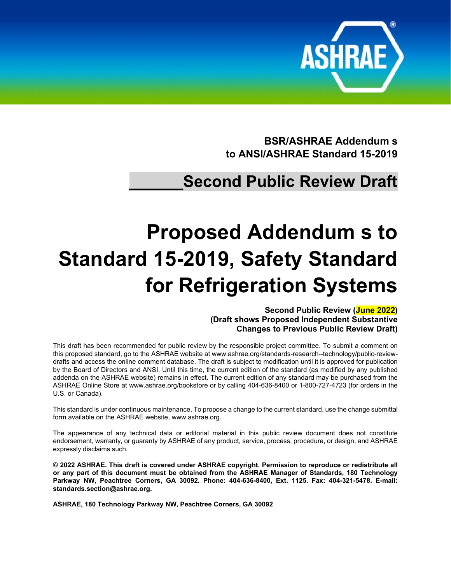

**BSR/ASHRAE Addendum s to ANSI/ASHRAE Standard 15-2019**

## **\_\_\_\_\_\_Second Public Review Draft**

# **Proposed Addendum s to Standard 15-2019, Safety Standard for Refrigeration Systems**

**Second Public Review (June 2022) (Draft shows Proposed Independent Substantive Changes to Previous Public Review Draft)**

This draft has been recommended for public review by the responsible project committee. To submit a comment on this proposed standard, go to the ASHRAE website a[t www.ashrae.org/standards-research--technology/public-review](http://www.ashrae.org/standards-research--technology/public-review-drafts)[drafts](http://www.ashrae.org/standards-research--technology/public-review-drafts) and access the online comment database. The draft is subject to modification until it is approved for publication by the Board of Directors and ANSI. Until this time, the current edition of the standard (as modified by any published addenda on the ASHRAE website) remains in effect. The current edition of any standard may be purchased from the ASHRAE Online Store at [www.ashrae.org/bookstore](http://www.ashrae.org/bookstore) or by calling 404-636-8400 or 1-800-727-4723 (for orders in the U.S. or Canada).

This standard is under continuous maintenance. To propose a change to the current standard, use the change submittal form available on the ASHRAE website, [www.ashrae.org.](http://www.ashrae.org/)

The appearance of any technical data or editorial material in this public review document does not constitute endorsement, warranty, or guaranty by ASHRAE of any product, service, process, procedure, or design, and ASHRAE expressly disclaims such.

**© 2022 ASHRAE. This draft is covered under ASHRAE copyright. Permission to reproduce or redistribute all or any part of this document must be obtained from the ASHRAE Manager of Standards, 180 Technology Parkway NW, Peachtree Corners, GA 30092. Phone: 404-636-8400, Ext. 1125. Fax: 404-321-5478. E-mail: [standards.section@ashrae.org.](mailto:standards.section@ashrae.org)**

**ASHRAE, 180 Technology Parkway NW, Peachtree Corners, GA 30092**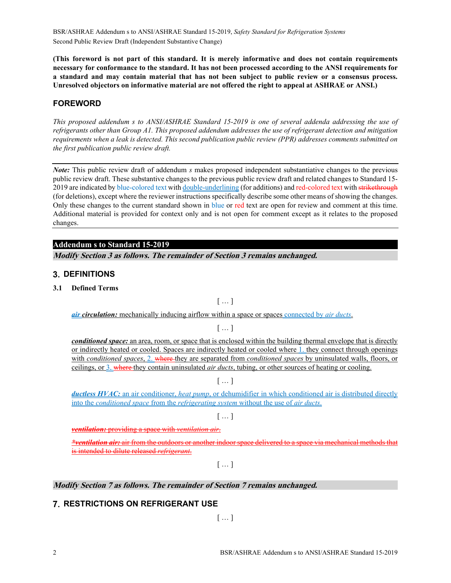BSR/ASHRAE Addendum s to ANSI/ASHRAE Standard 15-2019, *Safety Standard for Refrigeration Systems* Second Public Review Draft (Independent Substantive Change)

**(This foreword is not part of this standard. It is merely informative and does not contain requirements necessary for conformance to the standard. It has not been processed according to the ANSI requirements for a standard and may contain material that has not been subject to public review or a consensus process. Unresolved objectors on informative material are not offered the right to appeal at ASHRAE or ANSI.)**

#### **FOREWORD**

*This proposed addendum s to ANSI/ASHRAE Standard 15-2019 is one of several addenda addressing the use of refrigerants other than Group A1. This proposed addendum addresses the use of refrigerant detection and mitigation requirements when a leak is detected. This second publication public review (PPR) addresses comments submitted on the first publication public review draft.*

*Note:* This public review draft of addendum *s* makes proposed independent substantiative changes to the previous public review draft. These substantive changes to the previous public review draft and related changes to Standard 15- 2019 are indicated by blue-colored text with double-underlining (for additions) and red-colored text with strikethrough (for deletions), except where the reviewer instructions specifically describe some other means of showing the changes. Only these changes to the current standard shown in blue or red text are open for review and comment at this time. Additional material is provided for context only and is not open for comment except as it relates to the proposed changes.

#### **Addendum s to Standard 15-2019**

**Modify Section 3 as follows. The remainder of Section 3 remains unchanged.**

#### **3. DEFINITIONS**

**3.1 Defined Terms**

 $[$   $\ldots$   $]$ 

*air circulation:* mechanically inducing airflow within a space or spaces connected by *air ducts*.

[ … ]

*conditioned space:* an area, room, or space that is enclosed within the building thermal envelope that is directly or indirectly heated or cooled. Spaces are indirectly heated or cooled where 1. they connect through openings with *conditioned spaces*, 2. where they are separated from *conditioned spaces* by uninsulated walls, floors, or ceilings, or 3. where they contain uninsulated *air ducts*, tubing, or other sources of heating or cooling.

[ … ]

*ductless HVAC:* an air conditioner, *heat pump*, or dehumidifier in which conditioned air is distributed directly into the *conditioned space* from the *refrigerating system* without the use of *air ducts*.

[ … ]

*ventilation:* providing a space with *ventilation air*.

*\*ventilation air:* air from the outdoors or another indoor space delivered to a space via mechanical methods that is intended to dilute released *refrigerant*.

 $[ ... ]$ 

#### **Modify Section 7 as follows. The remainder of Section 7 remains unchanged.**

### **7. RESTRICTIONS ON REFRIGERANT USE**

 $[...]$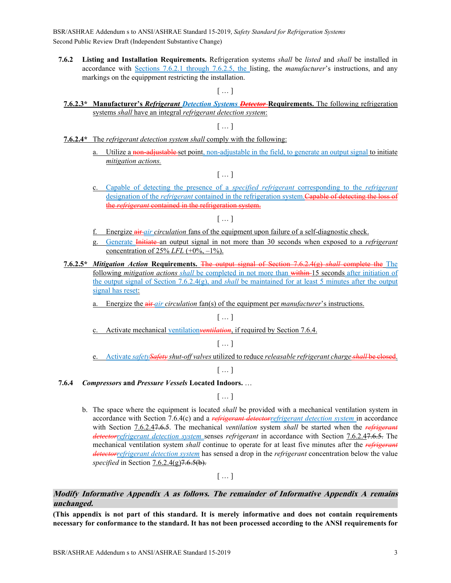BSR/ASHRAE Addendum s to ANSI/ASHRAE Standard 15-2019, *Safety Standard for Refrigeration Systems* Second Public Review Draft (Independent Substantive Change)

**7.6.2 Listing and Installation Requirements.** Refrigeration systems *shall* be *listed* and *shall* be installed in accordance with Sections 7.6.2.1 through 7.6.2.5, the listing, the *manufacturer*'s instructions, and any markings on the equippment restricting the installation.

 $[$   $\ldots$   $]$ 

**7.6.2.3\* Manufacturer's** *Refrigerant Detection Systems Detector* **Requirements.** The following refrigeration systems *shall* have an integral *refrigerant detection system*:

 $[ ... ]$ 

- **7.6.2.4\*** The *refrigerant detection system shall* comply with the following:
	- a. Utilize a non-adjustable set point, non-adjustable in the field, to generate an output signal to initiate *mitigation actions.*

 $[...]$ 

c. Capable of detecting the presence of a *specified refrigerant* corresponding to the *refrigerant* designation of the *refrigerant* contained in the refrigeration system.Capable of detecting the loss of the *refrigerant* contained in the refrigeration system.

[ … ]

- f. Energize air *air circulation* fans of the equipment upon failure of a self-diagnostic check.
- g. Generate Initiate an output signal in not more than 30 seconds when exposed to a *refrigerant* concentration of 25% *LFL* (+0%,  $-1\%$ ).
- **7.6.2.5\*** *Mitigation Action* **Requirements.** The output signal of Section 7.6.2.4(g) *shall* complete the The following *mitigation actions shall* be completed in not more than within 15 seconds after initiation of the output signal of Section 7.6.2.4(g), and *shall* be maintained for at least 5 minutes after the output signal has reset:
	- a. Energize the air *air circulation* fan(s) of the equipment per *manufacturer*'s instructions.

[ … ]

c. Activate mechanical ventilation*ventilation*, if required by Section 7.6.4.

 $[ ... ]$ 

e. Activate *safetySafety shut-off valves* utilized to reduce *releasable refrigerant charge shall* be closed.

 $[$   $\ldots$   $]$ 

**7.6.4** *Compressors* **and** *Pressure Vessels* **Located Indoors.** …

 $[$   $\ldots$   $]$ 

b. The space where the equipment is located *shall* be provided with a mechanical ventilation system in accordance with Section 7.6.4(c) and a *refrigerant detectorrefrigerant detection system* in accordance with Section 7.6.2.47.6.5. The mechanical *ventilation* system *shall* be started when the *refrigerant detectorrefrigerant detection system* senses *refrigerant* in accordance with Section 7.6.2.47.6.5. The mechanical ventilation system *shall* continue to operate for at least five minutes after the *refrigerant detectorrefrigerant detection system* has sensed a drop in the *refrigerant* concentration below the value *specified* in Section  $7.6.\overline{2.4(g)7.6.5(b)}$ .

 $[$   $\ldots$   $]$ 

#### **Modify Informative Appendix A as follows. The remainder of Informative Appendix A remains unchanged.**

**(This appendix is not part of this standard. It is merely informative and does not contain requirements necessary for conformance to the standard. It has not been processed according to the ANSI requirements for**